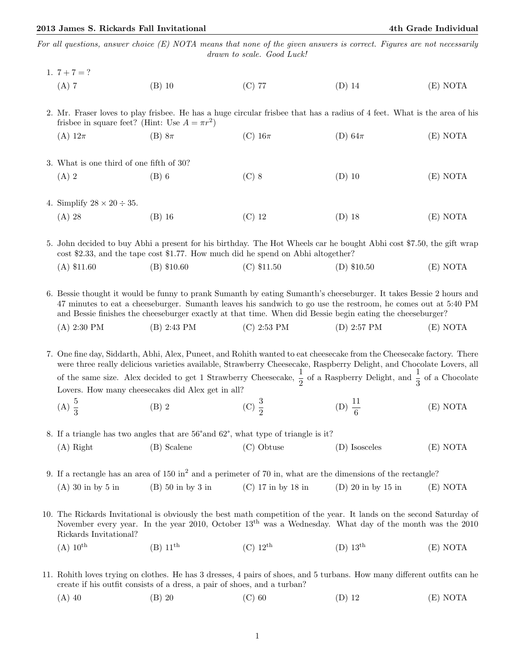For all questions, answer choice (E) NOTA means that none of the given answers is correct. Figures are not necessarily drawn to scale. Good Luck!

|  | 1. $7 + 7 = ?$                                                                                                                                                                                                                                |                                                                                                                      |                                                                                                                    |                        |          |  |
|--|-----------------------------------------------------------------------------------------------------------------------------------------------------------------------------------------------------------------------------------------------|----------------------------------------------------------------------------------------------------------------------|--------------------------------------------------------------------------------------------------------------------|------------------------|----------|--|
|  | $(A)$ 7                                                                                                                                                                                                                                       | $(B)$ 10                                                                                                             | $(C)$ 77                                                                                                           | $(D)$ 14               | (E) NOTA |  |
|  |                                                                                                                                                                                                                                               |                                                                                                                      |                                                                                                                    |                        |          |  |
|  | 2. Mr. Fraser loves to play frisbee. He has a huge circular frisbee that has a radius of 4 feet. What is the area of his<br>frisbee in square feet? (Hint: Use $A = \pi r^2$ )                                                                |                                                                                                                      |                                                                                                                    |                        |          |  |
|  | (A) $12\pi$                                                                                                                                                                                                                                   | $(B) 8\pi$                                                                                                           | (C) $16\pi$                                                                                                        | (D) $64\pi$            | (E) NOTA |  |
|  |                                                                                                                                                                                                                                               |                                                                                                                      |                                                                                                                    |                        |          |  |
|  | 3. What is one third of one fifth of 30?                                                                                                                                                                                                      |                                                                                                                      |                                                                                                                    |                        |          |  |
|  | $(A)$ 2                                                                                                                                                                                                                                       | $(B)$ 6                                                                                                              | $(C)$ 8                                                                                                            | $(D)$ 10               | (E) NOTA |  |
|  |                                                                                                                                                                                                                                               |                                                                                                                      |                                                                                                                    |                        |          |  |
|  | 4. Simplify $28 \times 20 \div 35$ .                                                                                                                                                                                                          |                                                                                                                      |                                                                                                                    |                        |          |  |
|  | $(A)$ 28                                                                                                                                                                                                                                      | $(B)$ 16                                                                                                             | $(C)$ 12                                                                                                           | $(D)$ 18               | (E) NOTA |  |
|  |                                                                                                                                                                                                                                               |                                                                                                                      |                                                                                                                    |                        |          |  |
|  |                                                                                                                                                                                                                                               | 5. John decided to buy Abhi a present for his birthday. The Hot Wheels car he bought Abhi cost \$7.50, the gift wrap |                                                                                                                    |                        |          |  |
|  |                                                                                                                                                                                                                                               |                                                                                                                      | cost \$2.33, and the tape cost \$1.77. How much did he spend on Abhi altogether?                                   |                        |          |  |
|  | $(A)$ \$11.60                                                                                                                                                                                                                                 | $(B)$ \$10.60                                                                                                        | $(C)$ \$11.50                                                                                                      | $(D)$ \$10.50          | (E) NOTA |  |
|  |                                                                                                                                                                                                                                               |                                                                                                                      | 6. Bessie thought it would be funny to prank Sumanth by eating Sumanth's cheeseburger. It takes Bessie 2 hours and |                        |          |  |
|  |                                                                                                                                                                                                                                               |                                                                                                                      | 47 minutes to eat a cheeseburger. Sumanth leaves his sandwich to go use the restroom, he comes out at 5:40 PM      |                        |          |  |
|  |                                                                                                                                                                                                                                               |                                                                                                                      | and Bessie finishes the cheeseburger exactly at that time. When did Bessie begin eating the cheeseburger?          |                        |          |  |
|  | (A) 2:30 PM                                                                                                                                                                                                                                   | $(B)$ 2:43 PM                                                                                                        | $(C)$ 2:53 PM                                                                                                      | $(D)$ 2:57 PM          | (E) NOTA |  |
|  |                                                                                                                                                                                                                                               |                                                                                                                      |                                                                                                                    |                        |          |  |
|  | 7. One fine day, Siddarth, Abhi, Alex, Puneet, and Rohith wanted to eat cheesecake from the Cheesecake factory. There<br>were three really delicious varieties available, Strawberry Cheesecake, Raspberry Delight, and Chocolate Lovers, all |                                                                                                                      |                                                                                                                    |                        |          |  |
|  | of the same size. Alex decided to get 1 Strawberry Cheesecake, $\frac{1}{2}$ of a Raspberry Delight, and $\frac{1}{3}$ of a Chocolate                                                                                                         |                                                                                                                      |                                                                                                                    |                        |          |  |
|  | Lovers. How many cheesecakes did Alex get in all?                                                                                                                                                                                             |                                                                                                                      |                                                                                                                    |                        |          |  |
|  | (A) $\frac{5}{3}$                                                                                                                                                                                                                             | $(B)$ 2                                                                                                              | (C) $\frac{3}{2}$                                                                                                  | (D) $\frac{11}{6}$     | (E) NOTA |  |
|  |                                                                                                                                                                                                                                               |                                                                                                                      |                                                                                                                    |                        |          |  |
|  | 8. If a triangle has two angles that are 56° and 62°, what type of triangle is it?                                                                                                                                                            |                                                                                                                      |                                                                                                                    |                        |          |  |
|  | $(A)$ Right                                                                                                                                                                                                                                   | (B) Scalene                                                                                                          | (C) Obtuse                                                                                                         | (D) Isosceles          | (E) NOTA |  |
|  |                                                                                                                                                                                                                                               |                                                                                                                      |                                                                                                                    |                        |          |  |
|  | 9. If a rectangle has an area of 150 in <sup>2</sup> and a perimeter of 70 in, what are the dimensions of the rectangle?                                                                                                                      |                                                                                                                      |                                                                                                                    |                        |          |  |
|  | $(A)$ 30 in by 5 in                                                                                                                                                                                                                           | $(B)$ 50 in by 3 in                                                                                                  | $(C)$ 17 in by 18 in                                                                                               | $(D)$ 20 in by 15 in   | (E) NOTA |  |
|  |                                                                                                                                                                                                                                               |                                                                                                                      |                                                                                                                    |                        |          |  |
|  | 10. The Rickards Invitational is obviously the best math competition of the year. It lands on the second Saturday of<br>November every year. In the year 2010, October 13 <sup>th</sup> was a Wednesday. What day of the month was the 2010   |                                                                                                                      |                                                                                                                    |                        |          |  |
|  | Rickards Invitational?                                                                                                                                                                                                                        |                                                                                                                      |                                                                                                                    |                        |          |  |
|  | $(A)$ 10 <sup>th</sup>                                                                                                                                                                                                                        | $(B)$ 11 <sup>th</sup>                                                                                               | $(C)$ 12 <sup>th</sup>                                                                                             | $(D)$ 13 <sup>th</sup> | (E) NOTA |  |
|  |                                                                                                                                                                                                                                               |                                                                                                                      |                                                                                                                    |                        |          |  |
|  | 11. Rohith loves trying on clothes. He has 3 dresses, 4 pairs of shoes, and 5 turbans. How many different outfits can be                                                                                                                      |                                                                                                                      |                                                                                                                    |                        |          |  |
|  |                                                                                                                                                                                                                                               | create if his outfit consists of a dress, a pair of shoes, and a turban?                                             |                                                                                                                    |                        |          |  |

(A) 40 (B) 20 (C) 60 (D) 12 (E) NOTA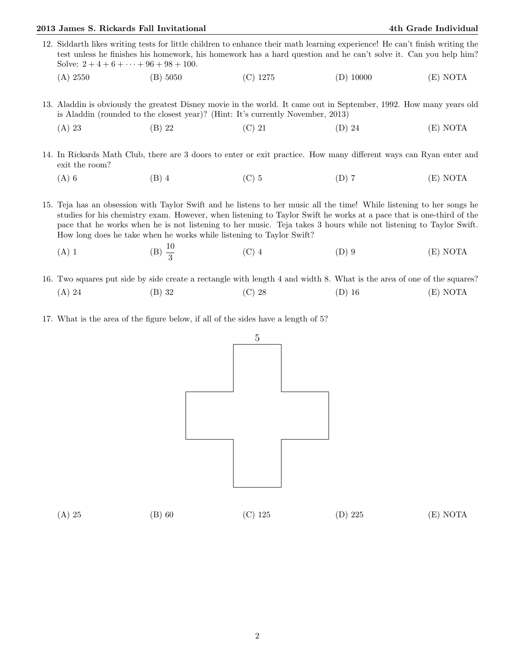## 2013 James S. Rickards Fall Invitational 4th Grade Individual

- 12. Siddarth likes writing tests for little children to enhance their math learning experience! He can't finish writing the test unless he finishes his homework, his homework has a hard question and he can't solve it. Can you help him? Solve:  $2 + 4 + 6 + \cdots + 96 + 98 + 100$ .
	- (A) 2550 (B) 5050 (C) 1275 (D) 10000 (E) NOTA
- 13. Aladdin is obviously the greatest Disney movie in the world. It came out in September, 1992. How many years old is Aladdin (rounded to the closest year)? (Hint: It's currently November, 2013)
	- (A) 23 (B) 22 (C) 21 (D) 24 (E) NOTA
- 14. In Rickards Math Club, there are 3 doors to enter or exit practice. How many different ways can Ryan enter and exit the room?
	- (A) 6 (B) 4 (C) 5 (D) 7 (E) NOTA

15. Teja has an obsession with Taylor Swift and he listens to her music all the time! While listening to her songs he studies for his chemistry exam. However, when listening to Taylor Swift he works at a pace that is one-third of the pace that he works when he is not listening to her music. Teja takes 3 hours while not listening to Taylor Swift. How long does he take when he works while listening to Taylor Swift?

- (A) 1 (B)  $\frac{10}{3}$ (C) 4 (D) 9 (E) NOTA
- 16. Two squares put side by side create a rectangle with length 4 and width 8. What is the area of one of the squares? (A) 24 (B) 32 (C) 28 (D) 16 (E) NOTA
- 17. What is the area of the figure below, if all of the sides have a length of 5?

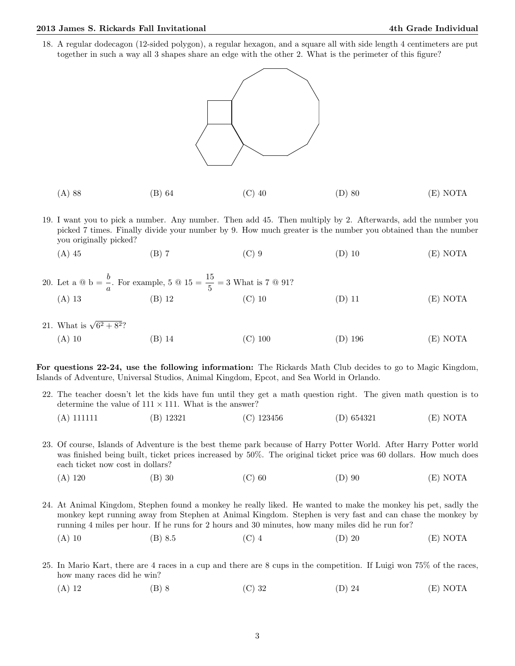## 2013 James S. Rickards Fall Invitational 4th Grade Individual

18. A regular dodecagon (12-sided polygon), a regular hexagon, and a square all with side length 4 centimeters are put together in such a way all 3 shapes share an edge with the other 2. What is the perimeter of this figure?



- (A) 88 (B) 64 (C) 40 (D) 80 (E) NOTA
- 19. I want you to pick a number. Any number. Then add 45. Then multiply by 2. Afterwards, add the number you picked 7 times. Finally divide your number by 9. How much greater is the number you obtained than the number you originally picked?
	- (A) 45 (B) 7 (C) 9 (D) 10 (E) NOTA

|          | 20. Let a $\circledcirc$ b = $\frac{b}{a}$ . For example, 5 $\circledcirc$ 15 = $\frac{15}{5}$ = 3 What is 7 $\circledcirc$ 91? |          |          |          |
|----------|---------------------------------------------------------------------------------------------------------------------------------|----------|----------|----------|
| $(A)$ 13 | (B) 12                                                                                                                          | $(C)$ 10 | $(D)$ 11 | (E) NOTA |

21. What is  $\sqrt{6^2 + 8^2}$ ? (A) 10 (B) 14 (C) 100 (D) 196 (E) NOTA

For questions 22-24, use the following information: The Rickards Math Club decides to go to Magic Kingdom, Islands of Adventure, Universal Studios, Animal Kingdom, Epcot, and Sea World in Orlando.

- 22. The teacher doesn't let the kids have fun until they get a math question right. The given math question is to determine the value of  $111 \times 111$ . What is the answer?
	- (A) 111111 (B) 12321 (C) 123456 (D) 654321 (E) NOTA
- 23. Of course, Islands of Adventure is the best theme park because of Harry Potter World. After Harry Potter world was finished being built, ticket prices increased by 50%. The original ticket price was 60 dollars. How much does each ticket now cost in dollars?
	- (A) 120 (B) 30 (C) 60 (D) 90 (E) NOTA
- 24. At Animal Kingdom, Stephen found a monkey he really liked. He wanted to make the monkey his pet, sadly the monkey kept running away from Stephen at Animal Kingdom. Stephen is very fast and can chase the monkey by running 4 miles per hour. If he runs for 2 hours and 30 minutes, how many miles did he run for?
	- (A) 10 (B) 8.5 (C) 4 (D) 20 (E) NOTA
- 25. In Mario Kart, there are 4 races in a cup and there are 8 cups in the competition. If Luigi won 75% of the races, how many races did he win?
	- (A) 12 (B) 8 (C) 32 (D) 24 (E) NOTA